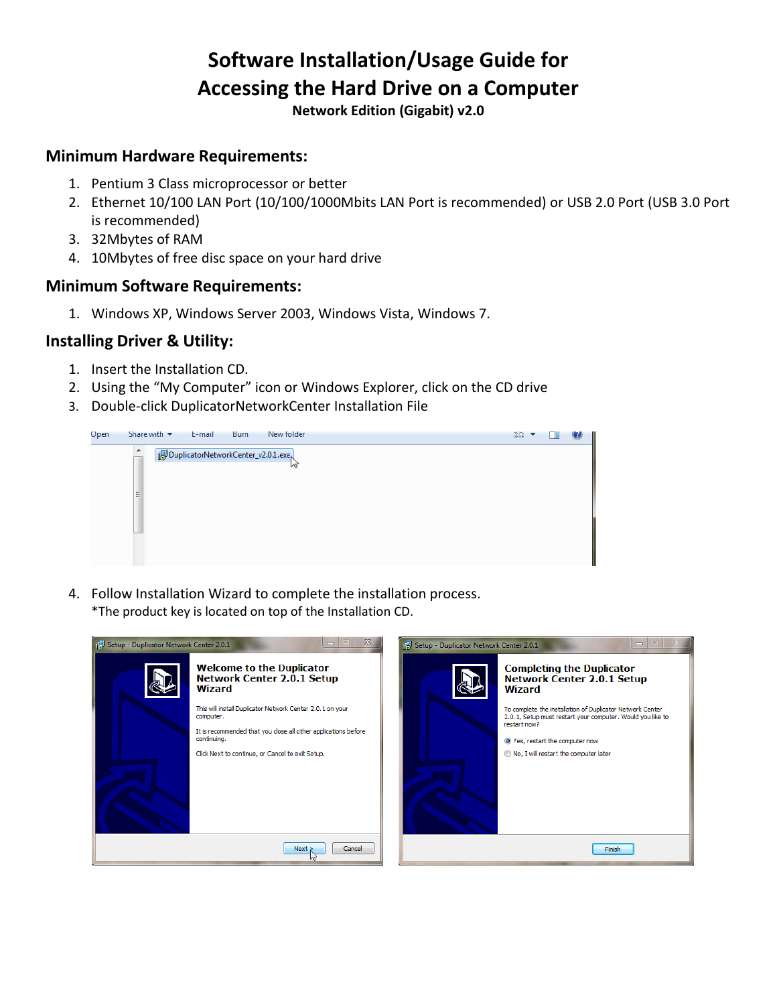# **Software Installation/Usage Guide for Accessing the Hard Drive on a Computer**

**Network Edition (Gigabit) v2.0**

#### **Minimum Hardware Requirements:**

- 1. Pentium 3 Class microprocessor or better
- 2. Ethernet 10/100 LAN Port (10/100/1000Mbits LAN Port is recommended) or USB 2.0 Port (USB 3.0 Port is recommended)
- 3. 32Mbytes of RAM
- 4. 10Mbytes of free disc space on your hard drive

#### **Minimum Software Requirements:**

1. Windows XP, Windows Server 2003, Windows Vista, Windows 7.

### **Installing Driver & Utility:**

- 1. Insert the Installation CD.
- 2. Using the "My Computer" icon or Windows Explorer, click on the CD drive
- 3. Double-click DuplicatorNetworkCenter Installation File



4. Follow Installation Wizard to complete the installation process. \*The product key is located on top of the Installation CD.

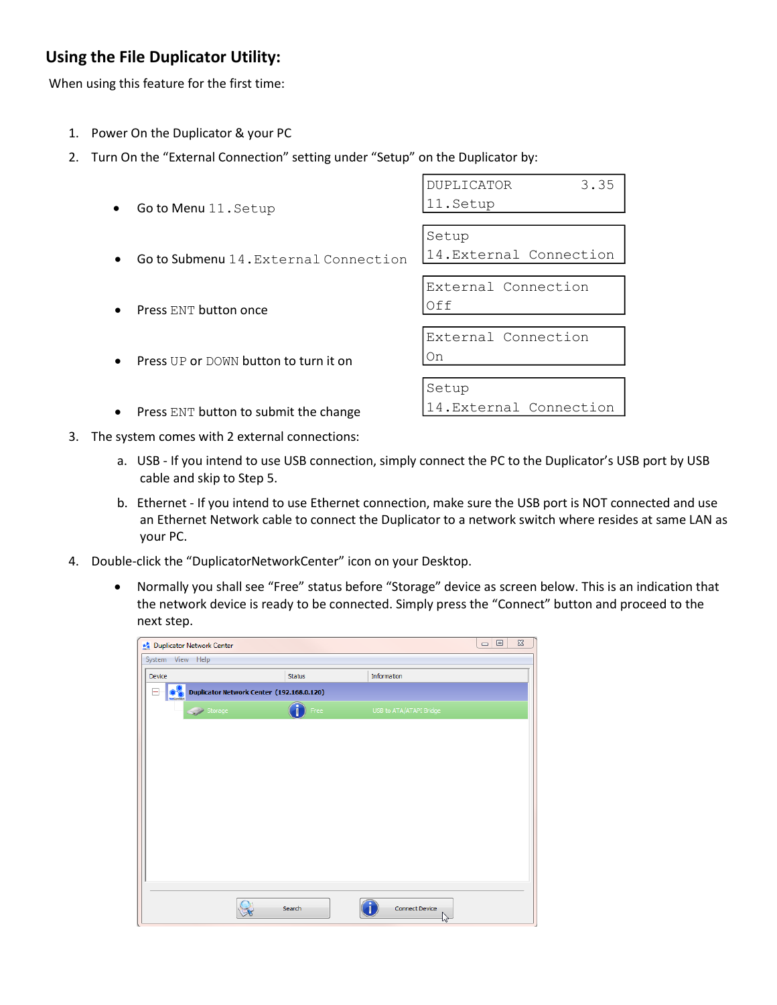# **Using the File Duplicator Utility:**

When using this feature for the first time:

- 1. Power On the Duplicator & your PC
- 2. Turn On the "External Connection" setting under "Setup" on the Duplicator by:

| 3.35<br><b>DUPLICATOR</b> |
|---------------------------|
| 11.Setup                  |
|                           |
| Setup                     |
| 14. External Connection   |
|                           |
| External Connection       |
| Off                       |
|                           |
| External Connection       |
| On                        |
|                           |
| Setup                     |
| 14. External Connection   |
|                           |

- 3. The system comes with 2 external connections:
	- a. USB If you intend to use USB connection, simply connect the PC to the Duplicator's USB port by USB cable and skip to Step 5.
	- b. Ethernet If you intend to use Ethernet connection, make sure the USB port is NOT connected and use an Ethernet Network cable to connect the Duplicator to a network switch where resides at same LAN as your PC.
- 4. Double-click the "DuplicatorNetworkCenter" icon on your Desktop.
	- Normally you shall see "Free" status before "Storage" device as screen below. This is an indication that the network device is ready to be connected. Simply press the "Connect" button and proceed to the next step.

| $\boxdot$<br>$\Sigma$<br>$\qquad \qquad \Box$<br>Duplicator Network Center |                                           |                         |  |  |  |  |
|----------------------------------------------------------------------------|-------------------------------------------|-------------------------|--|--|--|--|
| System View Help                                                           |                                           |                         |  |  |  |  |
| Device                                                                     | Status                                    | Information             |  |  |  |  |
| -                                                                          | Duplicator Network Center (192.168.0.120) |                         |  |  |  |  |
| Storage                                                                    | Free                                      | USB to ATA/ATAPI Bridge |  |  |  |  |
|                                                                            |                                           |                         |  |  |  |  |
|                                                                            |                                           |                         |  |  |  |  |
|                                                                            |                                           |                         |  |  |  |  |
|                                                                            |                                           |                         |  |  |  |  |
|                                                                            |                                           |                         |  |  |  |  |
|                                                                            |                                           |                         |  |  |  |  |
|                                                                            |                                           |                         |  |  |  |  |
|                                                                            |                                           |                         |  |  |  |  |
|                                                                            |                                           |                         |  |  |  |  |
|                                                                            |                                           |                         |  |  |  |  |
|                                                                            | Search                                    | <b>Connect Device</b>   |  |  |  |  |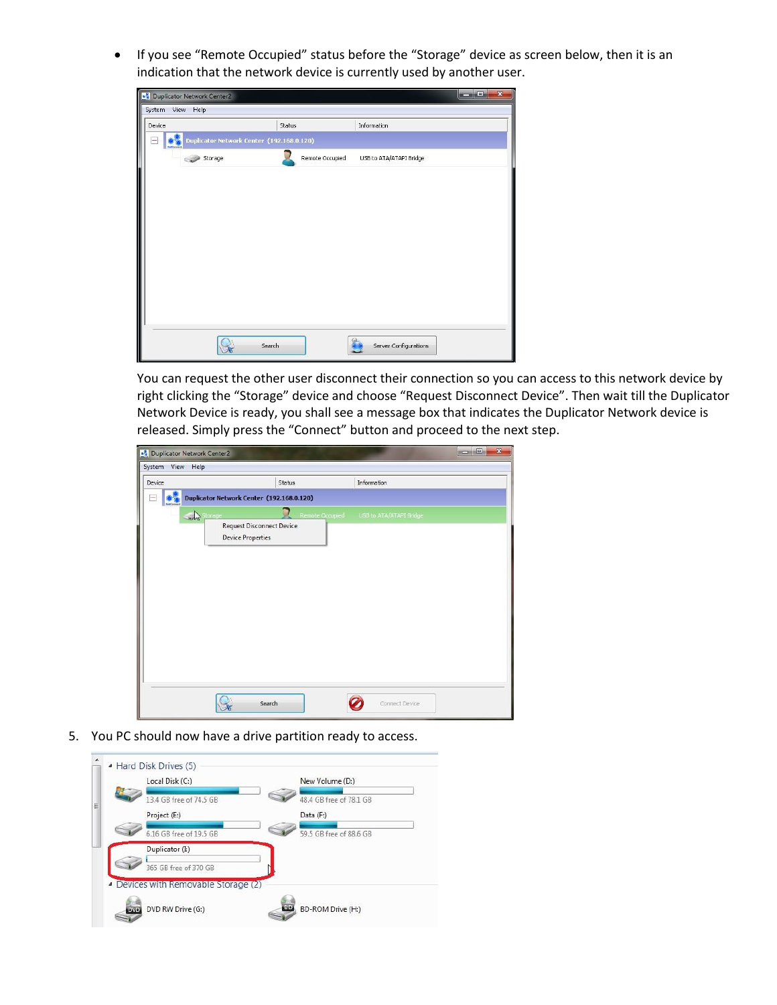If you see "Remote Occupied" status before the "Storage" device as screen below, then it is an indication that the network device is currently used by another user.

| System View Help |                                           |                 |                         |  |
|------------------|-------------------------------------------|-----------------|-------------------------|--|
| Device           | Status                                    |                 | Information             |  |
|                  | Duplicator Network Center (192.168.0.120) |                 |                         |  |
| Storage          |                                           | Remote Occupied | USB to ATA/ATAPI Bridge |  |
|                  |                                           |                 |                         |  |
|                  |                                           |                 |                         |  |
|                  |                                           |                 |                         |  |
|                  |                                           |                 |                         |  |
|                  |                                           |                 |                         |  |
|                  |                                           |                 |                         |  |
|                  |                                           |                 |                         |  |
|                  |                                           |                 |                         |  |
|                  |                                           |                 |                         |  |
|                  | Search                                    |                 | Server Configurations   |  |

You can request the other user disconnect their connection so you can access to this network device by right clicking the "Storage" device and choose "Request Disconnect Device". Then wait till the Duplicator Network Device is ready, you shall see a message box that indicates the Duplicator Network device is released. Simply press the "Connect" button and proceed to the next step.

| <b>**</b> Duplicator Network Center2<br>System View Help |                                                                         |                 |                         | $\overline{\mathbf{x}}$<br>$= 0$ |
|----------------------------------------------------------|-------------------------------------------------------------------------|-----------------|-------------------------|----------------------------------|
| Device                                                   |                                                                         | Status          | Information             |                                  |
|                                                          | Duplicator Network Center (192.168.0.120)                               |                 |                         |                                  |
|                                                          | Storage<br><b>Request Disconnect Device</b><br><b>Device Properties</b> | Remote Occupied | USB to ATA/ATAPI Bridge |                                  |
|                                                          | Search                                                                  |                 | Connect Device          |                                  |

5. You PC should now have a drive partition ready to access.

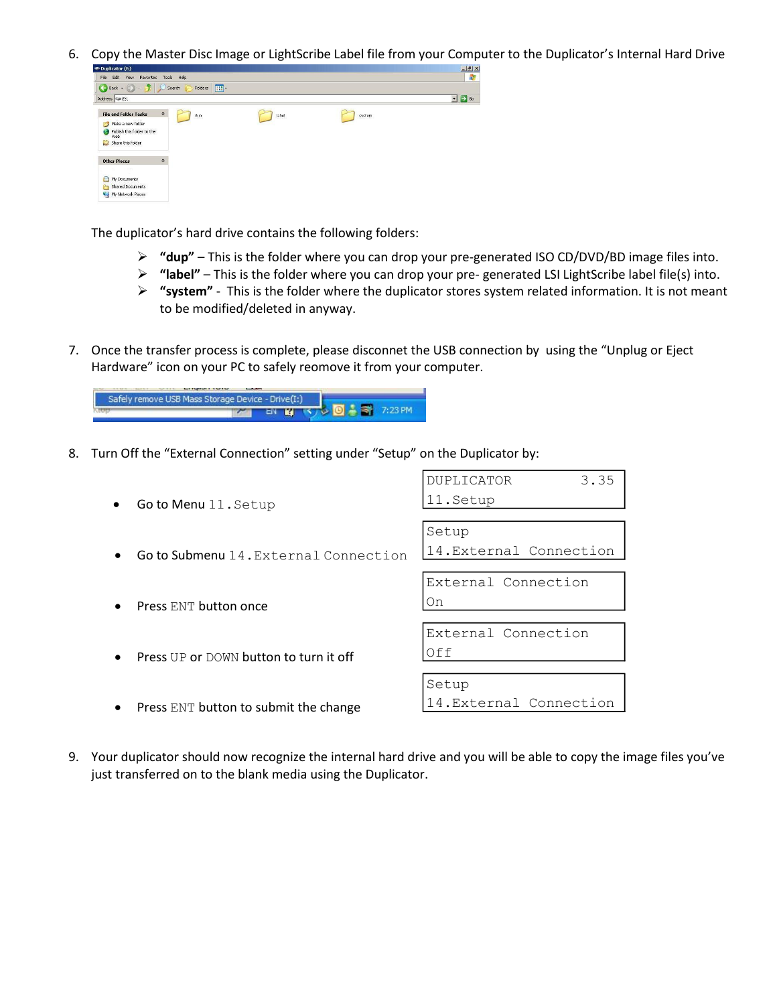6. Copy the Master Disc Image or LightScribe Label file from your Computer to the Duplicator's Internal Hard Drive<br>



The duplicator's hard drive contains the following folders:

- **"dup"**  This is the folder where you can drop your pre-generated ISO CD/DVD/BD image files into.
- **"label"** This is the folder where you can drop your pre- generated LSI LightScribe label file(s) into.
- **"system"**  This is the folder where the duplicator stores system related information. It is not meant to be modified/deleted in anyway.
- 7. Once the transfer process is complete, please disconnet the USB connection by using the "Unplug or Eject Hardware" icon on your PC to safely reomove it from your computer.

na succu Safely remove USB Mass Storage Device - Drive(I:) **DA ST 7:23 PM**  $\overline{r}$ **EN BER RE** 

8. Turn Off the "External Connection" setting under "Setup" on the Duplicator by:

| Go to Menu 11. Setup                   | <b>DUPLICATOR</b><br>3.35<br>11.Setup |
|----------------------------------------|---------------------------------------|
| Go to Submenu 14. External Connection  | Setup<br>14. External Connection      |
| Press ENT button once                  | External Connection<br>On             |
| Press UP or DOWN button to turn it off | External Connection<br>Off            |
| Press ENT button to submit the change  | Setup<br>14. External Connection      |

9. Your duplicator should now recognize the internal hard drive and you will be able to copy the image files you've just transferred on to the blank media using the Duplicator.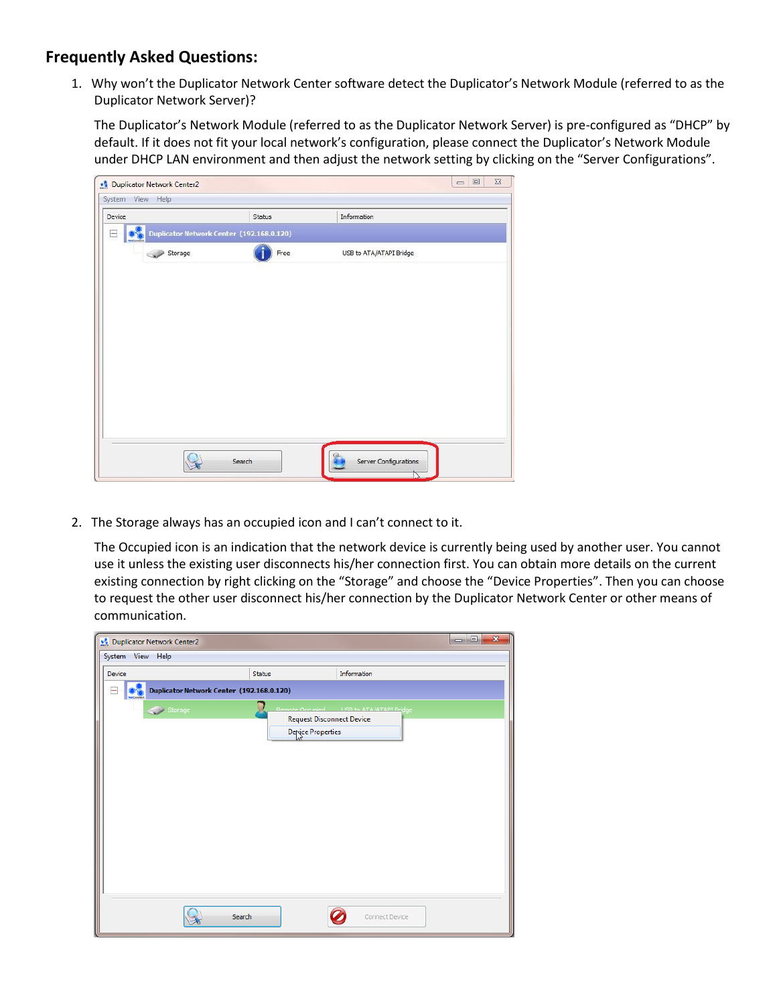## **Frequently Asked Questions:**

1. Why won't the Duplicator Network Center software detect the Duplicator's Network Module (referred to as the Duplicator Network Server)?

The Duplicator's Network Module (referred to as the Duplicator Network Server) is pre-configured as "DHCP" by default. If it does not fit your local network's configuration, please connect the Duplicator's Network Module under DHCP LAN environment and then adjust the network setting by clicking on the "Server Configurations".

| Status                                    | Information             |  |
|-------------------------------------------|-------------------------|--|
| Duplicator Network Center (192.168.0.120) |                         |  |
| Free                                      | USB to ATA/ATAPI Bridge |  |
|                                           |                         |  |
|                                           |                         |  |
|                                           |                         |  |
|                                           |                         |  |
|                                           |                         |  |
|                                           |                         |  |
|                                           |                         |  |
|                                           |                         |  |
|                                           |                         |  |
|                                           |                         |  |
|                                           |                         |  |
|                                           |                         |  |

2. The Storage always has an occupied icon and I can't connect to it.

The Occupied icon is an indication that the network device is currently being used by another user. You cannot use it unless the existing user disconnects his/her connection first. You can obtain more details on the current existing connection by right clicking on the "Storage" and choose the "Device Properties". Then you can choose to request the other user disconnect his/her connection by the Duplicator Network Center or other means of communication.

|                                           | $\Box$ e<br>$\mathbf{x}$<br>Duplicator Network Center2 |                                           |  |  |  |  |
|-------------------------------------------|--------------------------------------------------------|-------------------------------------------|--|--|--|--|
| System View Help                          |                                                        |                                           |  |  |  |  |
| Information<br>Device<br><b>Status</b>    |                                                        |                                           |  |  |  |  |
| Duplicator Network Center (192.168.0.120) |                                                        |                                           |  |  |  |  |
| Storage                                   |                                                        | Remote Occupied   USB to ATA/ATAPT Rridge |  |  |  |  |
|                                           | <b>Request Disconnect Device</b>                       |                                           |  |  |  |  |
|                                           | Device Properties                                      |                                           |  |  |  |  |
|                                           |                                                        |                                           |  |  |  |  |
|                                           |                                                        |                                           |  |  |  |  |
|                                           |                                                        |                                           |  |  |  |  |
|                                           |                                                        |                                           |  |  |  |  |
|                                           |                                                        |                                           |  |  |  |  |
|                                           |                                                        |                                           |  |  |  |  |
|                                           |                                                        |                                           |  |  |  |  |
|                                           |                                                        |                                           |  |  |  |  |
|                                           |                                                        |                                           |  |  |  |  |
|                                           |                                                        |                                           |  |  |  |  |
|                                           |                                                        |                                           |  |  |  |  |
| Search                                    |                                                        | <b>Connect Device</b>                     |  |  |  |  |